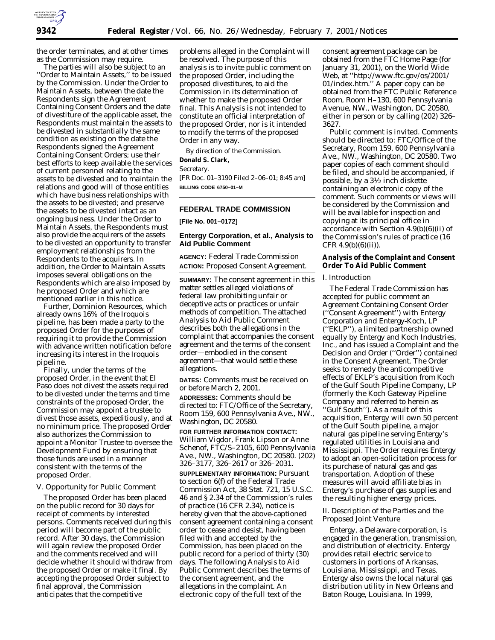

the order terminates, and at other times as the Commission may require.

The parties will also be subject to an ''Order to Maintain Assets,'' to be issued by the Commission. Under the Order to Maintain Assets, between the date the Respondents sign the Agreement Containing Consent Orders and the date of divestiture of the applicable asset, the Respondents must maintain the assets to be divested in substantially the same condition as existing on the date the Respondents signed the Agreement Containing Consent Orders; use their best efforts to keep available the services of current personnel relating to the assets to be divested and to maintain the relations and good will of those entities which have business relationships with the assets to be divested; and preserve the assets to be divested intact as an ongoing business. Under the Order to Maintain Assets, the Respondents must also provide the acquirers of the assets to be divested an opportunity to transfer employment relationships from the Respondents to the acquirers. In addition, the Order to Maintain Assets imposes several obligations on the Respondents which are also imposed by he proposed Order and which are mentioned earlier in this notice.

Further, Dominion Resources, which already owns 16% of the Iroquois pipeline, has been made a party to the proposed Order for the purposes of requiring it to provide the Commission with advance written notification before increasing its interest in the Iroquois pipeline.

Finally, under the terms of the proposed Order, in the event that El Paso does not divest the assets required to be divested under the terms and time constraints of the proposed Order, the Commission may appoint a trustee to divest those assets, expeditiously, and at no minimum price. The proposed Order also authorizes the Commission to appoint a Monitor Trustee to oversee the Development Fund by ensuring that those funds are used in a manner consistent with the terms of the proposed Order.

#### *V. Opportunity for Public Comment*

The proposed Order has been placed on the public record for 30 days for receipt of comments by interested persons. Comments received during this period will become part of the public record. After 30 days, the Commission will again review the proposed Order and the comments received and will decide whether it should withdraw from the proposed Order or make it final. By accepting the proposed Order subject to final approval, the Commission anticipates that the competitive

problems alleged in the Complaint will be resolved. The purpose of this analysis is to invite public comment on the proposed Order, including the proposed divestitures, to aid the Commission in its determination of whether to make the proposed Order final. This Analysis is not intended to constitute an official interpretation of the proposed Order, nor is it intended to modify the terms of the proposed Order in any way.

By direction of the Commission.

# **Donald S. Clark,**

*Secretary.*

[FR Doc. 01–3190 Filed 2–06–01; 8:45 am] **BILLING CODE 6750–01–M**

## **FEDERAL TRADE COMMISSION**

**[File No. 001–0172]**

## **Entergy Corporation, et al., Analysis to Aid Public Comment**

**AGENCY:** Federal Trade Commission **ACTION:** Proposed Consent Agreement.

**SUMMARY:** The consent agreement in this matter settles alleged violations of federal law prohibiting unfair or deceptive acts or practices or unfair methods of competition. The attached Analysis to Aid Public Comment describes both the allegations in the complaint that accompanies the consent agreement and the terms of the consent order—embodied in the consent agreement—that would settle these allegations.

**DATES:** Comments must be received on or before March 2, 2001.

**ADDRESSES:** Comments should be directed to: FTC/Office of the Secretary, Room 159, 600 Pennsylvania Ave., NW., Washington, DC 20580.

**FOR FURTHER INFORMATION CONTACT:** William Vigdor, Frank Lipson or Anne Schenof, FTC/S–2105, 600 Pennsylvania Ave., NW., Washington, DC 20580. (202) 326–3177, 326–2617 or 326–2031.

**SUPPLEMENTARY INFORMATION:** Pursuant to section 6(f) of the Federal Trade Commission Act, 38 Stat. 721, 15 U.S.C. 46 and § 2.34 of the Commission's rules of practice (16 CFR 2.34), notice is hereby given that the above-captioned consent agreement containing a consent order to cease and desist, having been filed with and accepted by the Commission, has been placed on the public record for a period of thirty (30) days. The following Analysis to Aid Public Comment describes the terms of the consent agreement, and the allegations in the complaint. An electronic copy of the full text of the

consent agreement package can be obtained from the FTC Home Page (for January 31, 2001), on the World Wide Web, at ''http://www.ftc.gov/os/2001/ 01/index.htm.'' A paper copy can be obtained from the FTC Public Reference Room, Room H–130, 600 Pennsylvania Avenue, NW., Washington, DC 20580, either in person or by calling (202) 326– 3627.

Public comment is invited. Comments should be directed to: FTC/Office of the Secretary, Room 159, 600 Pennsylvania Ave., NW., Washington, DC 20580. Two paper copies of each comment should be filed, and should be accompanied, if possible, by a 31⁄2 inch diskette containing an electronic copy of the comment. Such comments or views will be considered by the Commission and will be available for inspection and copying at its principal office in accordance with Section 4.9(b)(6)(ii) of the Commission's rules of practice (16 CFR  $4.9(b)(6)(ii)$ .

## **Analysis of the Complaint and Consent Order To Aid Public Comment**

#### *I. Introduction*

The Federal Trade Commission has accepted for public comment an Agreement Containing Consent Order (''Consent Agreement'') with Entergy Corporation and Entergy-Koch, LP (''EKLP''), a limited partnership owned equally by Entergy and Koch Industries, Inc., and has issued a Complaint and the Decision and Order (''Order'') contained in the Consent Agreement. The Order seeks to remedy the anticompetitive effects of EKLP's acquisition from Koch of the Gulf South Pipeline Company, LP (formerly the Koch Gateway Pipeline Company and referred to herein as ''Gulf South''). As a result of this acquisition, Entergy will own 50 percent of the Gulf South pipeline, a major natural gas pipeline serving Entergy's regulated utilities in Louisiana and Mississippi. The Order requires Entergy to adopt an open-solicitation process for its purchase of natural gas and gas transportation. Adoption of these measures will avoid affiliate bias in Entergy's purchase of gas supplies and the resulting higher energy prices.

## *II. Description of the Parties and the Proposed Joint Venture*

Entergy, a Delaware corporation, is engaged in the generation, transmission, and distribution of electricity. Entergy provides retail electric service to customers in portions of Arkansas, Louisiana, Mississippi, and Texas. Entergy also owns the local natural gas distribution utility in New Orleans and Baton Rouge, Louisiana. In 1999,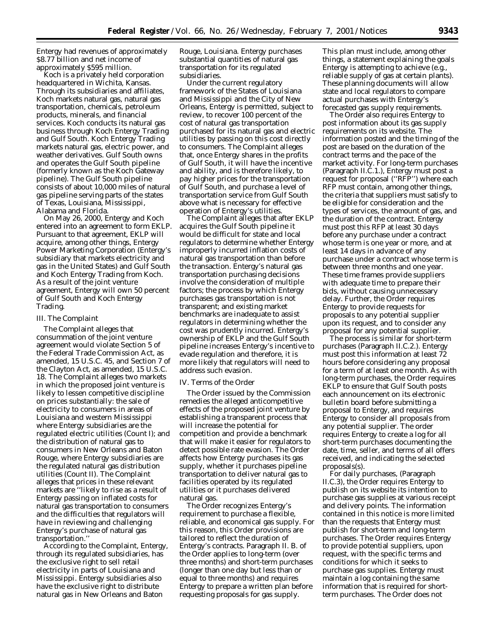Entergy had revenues of approximately \$8.77 billion and net income of approximately \$595 million.

Koch is a privately held corporation headquartered in Wichita, Kansas. Through its subsidiaries and affiliates, Koch markets natural gas, natural gas transportation, chemicals, petroleum products, minerals, and financial services. Koch conducts its natural gas business through Koch Entergy Trading and Gulf South. Koch Entergy Trading markets natural gas, electric power, and weather derivatives. Gulf South owns and operates the Gulf South pipeline (formerly known as the Koch Gateway pipeline). The Gulf South pipeline consists of about 10,000 miles of natural gas pipeline serving parts of the states of Texas, Louisiana, Mississippi, Alabama and Florida.

On May 26, 2000, Entergy and Koch entered into an agreement to form EKLP. Pursuant to that agreement, EKLP will acquire, among other things, Entergy Power Marketing Corporation (Entergy's subsidiary that markets electricity and gas in the United States) and Gulf South and Koch Entergy Trading from Koch. As a result of the joint venture agreement, Entergy will own 50 percent of Gulf South and Koch Entergy Trading.

#### *III. The Complaint*

The Complaint alleges that consummation of the joint venture agreement would violate Section 5 of the Federal Trade Commission Act, as amended, 15 U.S.C. 45, and Section 7 of the Clayton Act, as amended, 15 U.S.C. 18. The Complaint alleges two markets in which the proposed joint venture is likely to lessen competitive discipline on prices substantially: the sale of electricity to consumers in areas of Louisiana and western Mississippi where Entergy subsidiaries are the regulated electric utilities (Count I); and the distribution of natural gas to consumers in New Orleans and Baton Rouge, where Entergy subsidiaries are the regulated natural gas distribution utilities (Count II). The Complaint alleges that prices in these relevant markets are ''likely to rise as a result of Entergy passing on inflated costs for natural gas transportation to consumers and the difficulties that regulators will have in reviewing and challenging Entergy's purchase of natural gas transportation.''

According to the Complaint, Entergy, through its regulated subsidiaries, has the exclusive right to sell retail electricity in parts of Louisiana and Mississippi. Entergy subsidiaries also have the exclusive right to distribute natural gas in New Orleans and Baton

Rouge, Louisiana. Entergy purchases substantial quantities of natural gas transportation for its regulated subsidiaries.

Under the current regulatory framework of the States of Louisiana and Mississippi and the City of New Orleans, Entergy is permitted, subject to review, to recover 100 percent of the cost of natural gas transportation purchased for its natural gas and electric utilities by passing on this cost directly to consumers. The Complaint alleges that, once Entergy shares in the profits of Gulf South, it will have the incentive and ability, and is therefore likely, to pay higher prices for the transportation of Gulf South, and purchase a level of transportation service from Gulf South above what is necessary for effective operation of Entergy's utilities.

The Complaint alleges that after EKLP acquires the Gulf South pipeline it would be difficult for state and local regulators to determine whether Entergy improperly incurred inflation costs of natural gas transportation than before the transaction. Entergy's natural gas transportation purchasing decisions involve the consideration of multiple factors; the process by which Entergy purchases gas transportation is not transparent; and existing market benchmarks are inadequate to assist regulators in determining whether the cost was prudently incurred. Entergy's ownership of EKLP and the Gulf South pipeline increases Entergy's incentive to evade regulation and therefore, it is more likely that regulators will need to address such evasion.

## *IV. Terms of the Order*

The Order issued by the Commission remedies the alleged anticompetitive effects of the proposed joint venture by establishing a transparent process that will increase the potential for competition and provide a benchmark that will make it easier for regulators to detect possible rate evasion. The Order affects how Entergy purchases its gas supply, whether it purchases pipeline transportation to deliver natural gas to facilities operated by its regulated utilities or it purchases delivered natural gas.

The Order recognizes Entergy's requirement to purchase a flexible, reliable, and economical gas supply. For this reason, this Order provisions are tailored to reflect the duration of Entergy's contracts. Paragraph II. B. of the Order applies to long-term (over three months) and short-term purchases (longer than one day but less than or equal to three months) and requires Entergy to prepare a written plan before requesting proposals for gas supply.

This plan must include, among other things, a statement explaining the goals Entergy is attempting to achieve (*e.g.,* reliable supply of gas at certain plants). These planning documents will allow state and local regulators to compare actual purchases with Entergy's forecasted gas supply requirements.

The Order also requires Entergy to post information about its gas supply requirements on its website. The information posted and the timing of the post are based on the duration of the contract terms and the pace of the market activity. For long-term purchases (Paragraph II.C.1.), Entergy must post a request for proposal (''RFP'') where each RFP must contain, among other things, the criteria that suppliers must satisfy to be eligible for consideration and the types of services, the amount of gas, and the duration of the contract. Entergy must post this RFP at least 30 days before any purchase under a contract whose term is one year or more, and at least 14 days in advance of any purchase under a contract whose term is between three months and one year. These time frames provide suppliers with adequate time to prepare their bids, without causing unnecessary delay. Further, the Order requires Entergy to provide requests for proposals to any potential supplier upon its request, and to consider any proposal for any potential supplier.

The process is similar for short-term purchases (Paragraph II.C.2.). Entergy must post this information at least 72 hours before considering any proposal for a term of at least one month. As with long-term purchases, the Order requires EKLP to ensure that Gulf South posts each announcement on its electronic bulletin board before submitting a proposal to Entergy, and requires Entergy to consider all proposals from any potential supplier. The order requires Entergy to create a log for all short-term purchases documenting the date, time, seller, and terms of all offers received, and indicating the selected proposals(s).

For daily purchases, (Paragraph II.C.3), the Order requires Entergy to publish on its website its intention to purchase gas supplies at various receipt and delivery points. The information contained in this notice is more limited than the requests that Entergy must publish for short-term and long-term purchases. The Order requires Entergy to provide potential suppliers, upon request, with the specific terms and conditions for which it seeks to purchase gas supplies. Entergy must maintain a log containing the same information that is required for shortterm purchases. The Order does not